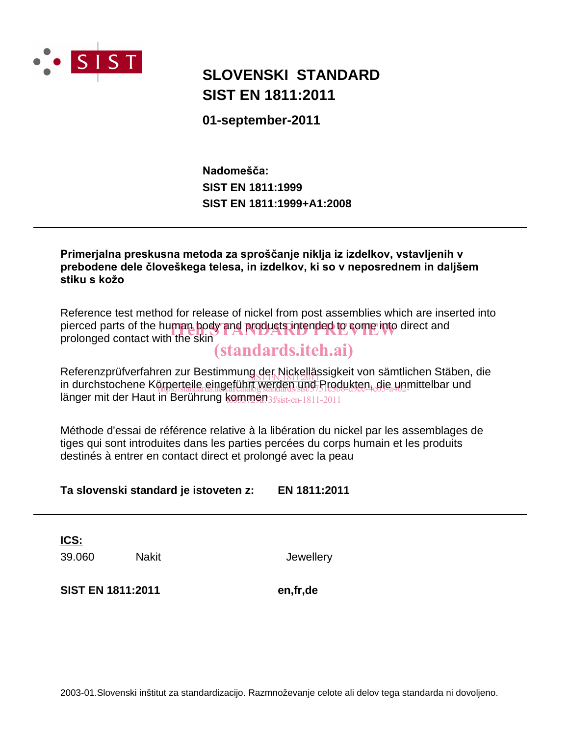

# **SLOVENSKI STANDARD SIST EN 1811:2011**

01-september-2011

Nadomešča: **SIST EN 1811:1999** SIST EN 1811:1999+A1:2008

Primerialna preskusna metoda za sproščanje niklja iz izdelkov, vstavljenih v prebodene dele človeškega telesa, in izdelkov, ki so v neposrednem in daljšem stiku s kožo

Reference test method for release of nickel from post assemblies which are inserted into pierced parts of the human body and products intended to come into direct and prolonged contact with the skin

# *(standards.iteh.ai)*

Referenzprüfverfahren zur Bestimmung der Nickellässigkeit von sämtlichen Stäben, die in durchstochene Körperteile eingeführt werden und Produkten, die unmittelbar und länger mit der Haut in Berührung kommen 3f/sist-en-1811-2011

Méthode d'essai de référence relative à la libération du nickel par les assemblages de tiges qui sont introduites dans les parties percées du corps humain et les produits destinés à entrer en contact direct et prolongé avec la peau

Ta slovenski standard je istoveten z: EN 1811:2011

**ICS:** 

39.060

**Nakit** 

Jewellery

SIST EN 1811:2011

en,fr,de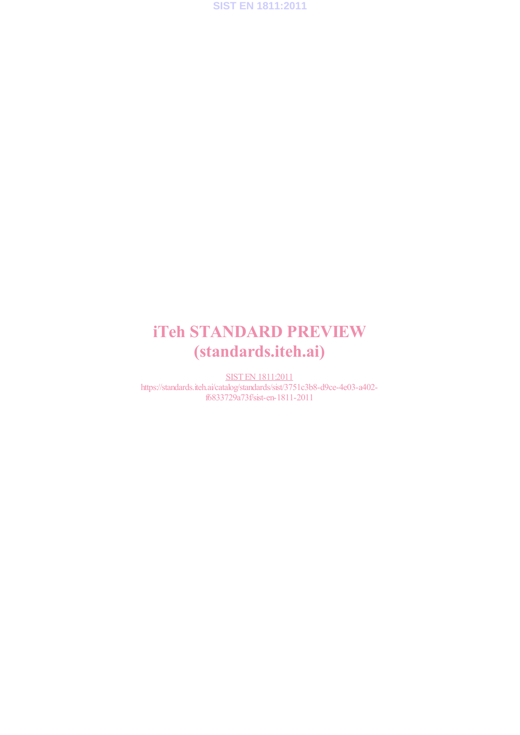**SIST EN 1811:2011**

# iTeh STANDARD PREVIEW (standards.iteh.ai)

SIST EN 1811:2011 https://standards.iteh.ai/catalog/standards/sist/3751c3b8-d9ce-4e03-a402 f6833729a73f/sist-en-1811-2011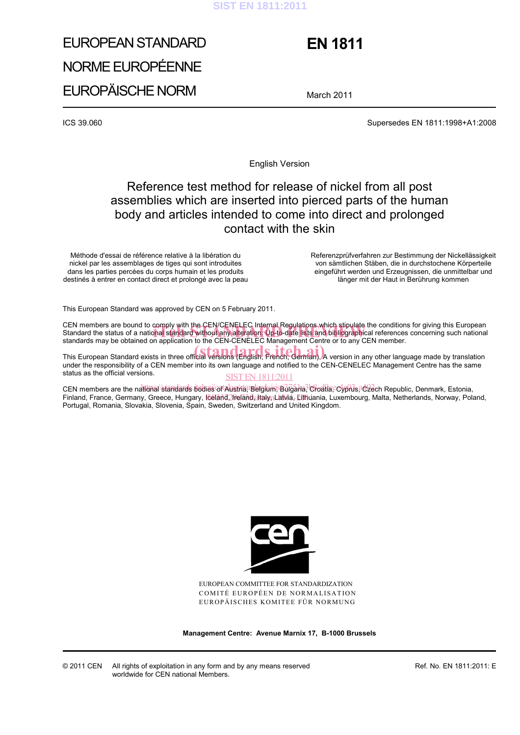## **SIST EN 1811:2011**

# EUROPEAN STANDARD NORME EUROPÉENNE EUROPÄISCHE NORM

# **EN 1811**

March 2011

ICS 39.060 Supersedes EN 1811:1998+A1:2008

English Version

# Reference test method for release of nickel from all post assemblies which are inserted into pierced parts of the human body and articles intended to come into direct and prolonged contact with the skin

Méthode d'essai de référence relative à la libération du nickel par les assemblages de tiges qui sont introduites dans les parties percées du corps humain et les produits destinés à entrer en contact direct et prolongé avec la peau  Referenzprüfverfahren zur Bestimmung der Nickellässigkeit von sämtlichen Stäben, die in durchstochene Körperteile eingeführt werden und Erzeugnissen, die unmittelbar und länger mit der Haut in Berührung kommen

This European Standard was approved by CEN on 5 February 2011.

CEN members are bound to comply with the CEN/CENELEC Internal Regulations which stipulate the conditions for giving this European CEN members are bound to comply with the CEN/CENELEC Internal Regulations which stipulate the conditions for giving this European<br>Standard the status of a national standard without any alteration. Up-to-date lists and bibl standards may be obtained on application to the CEN-CENELEC Management Centre or to any CEN member.

This European Standard exists in three official versions (English, French, German). A version in any other language made by translation under the responsibility of a CEN member into its own language and notified to the CEN-CENELEC Management Centre has the same status as the official versions.

#### **SIST EN 1811:2011**

CEN members are the nattonal/standards bodies/ortAustria, Belgium, Bulgaria, Oroatia, Cyprus, C2ech Republic, Denmark, Estonia, Finland, France, Germany, Greece, Hungary, Ičeland Ureland<sub>s</sub> Italyn Latvia, Lithuania, Luxembourg, Malta, Netherlands, Norway, Poland, Portugal, Romania, Slovakia, Slovenia, Spain, Sweden, Switzerland and United Kingdom.



EUROPEAN COMMITTEE FOR STANDARDIZATION COMITÉ EUROPÉEN DE NORMALISATION EUROPÄISCHES KOMITEE FÜR NORMUNG

**Management Centre: Avenue Marnix 17, B-1000 Brussels**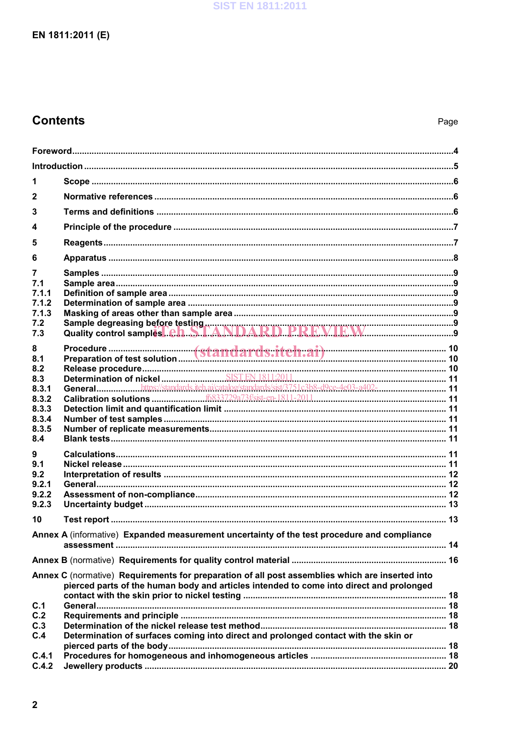# **Contents**

| 1              |                                                                                                                                                                                            |  |  |  |
|----------------|--------------------------------------------------------------------------------------------------------------------------------------------------------------------------------------------|--|--|--|
| $\mathbf{2}$   |                                                                                                                                                                                            |  |  |  |
| 3              |                                                                                                                                                                                            |  |  |  |
| 4              |                                                                                                                                                                                            |  |  |  |
| 5              |                                                                                                                                                                                            |  |  |  |
| 6              |                                                                                                                                                                                            |  |  |  |
| 7              |                                                                                                                                                                                            |  |  |  |
| 7.1<br>7.1.1   |                                                                                                                                                                                            |  |  |  |
| 7.1.2          |                                                                                                                                                                                            |  |  |  |
| 7.1.3          |                                                                                                                                                                                            |  |  |  |
| 7.2            |                                                                                                                                                                                            |  |  |  |
| 7.3            |                                                                                                                                                                                            |  |  |  |
| 8              |                                                                                                                                                                                            |  |  |  |
| 8.1<br>8.2     |                                                                                                                                                                                            |  |  |  |
| 8.3            |                                                                                                                                                                                            |  |  |  |
| 8.3.1          |                                                                                                                                                                                            |  |  |  |
| 8.3.2          |                                                                                                                                                                                            |  |  |  |
| 8.3.3<br>8.3.4 |                                                                                                                                                                                            |  |  |  |
| 8.3.5          |                                                                                                                                                                                            |  |  |  |
| 8.4            |                                                                                                                                                                                            |  |  |  |
| 9              |                                                                                                                                                                                            |  |  |  |
| 9.1            |                                                                                                                                                                                            |  |  |  |
| 9.2            |                                                                                                                                                                                            |  |  |  |
| 9.2.1          |                                                                                                                                                                                            |  |  |  |
| 9.2.2<br>9.2.3 |                                                                                                                                                                                            |  |  |  |
|                |                                                                                                                                                                                            |  |  |  |
| 10             |                                                                                                                                                                                            |  |  |  |
|                | Annex A (informative) Expanded measurement uncertainty of the test procedure and compliance                                                                                                |  |  |  |
|                |                                                                                                                                                                                            |  |  |  |
|                | Annex C (normative) Requirements for preparation of all post assemblies which are inserted into<br>pierced parts of the human body and articles intended to come into direct and prolonged |  |  |  |
|                |                                                                                                                                                                                            |  |  |  |
| C.1            |                                                                                                                                                                                            |  |  |  |
| C.2            |                                                                                                                                                                                            |  |  |  |
| C.3<br>C.4     | Determination of surfaces coming into direct and prolonged contact with the skin or                                                                                                        |  |  |  |
|                |                                                                                                                                                                                            |  |  |  |
| C.4.1          |                                                                                                                                                                                            |  |  |  |
| C.4.2          |                                                                                                                                                                                            |  |  |  |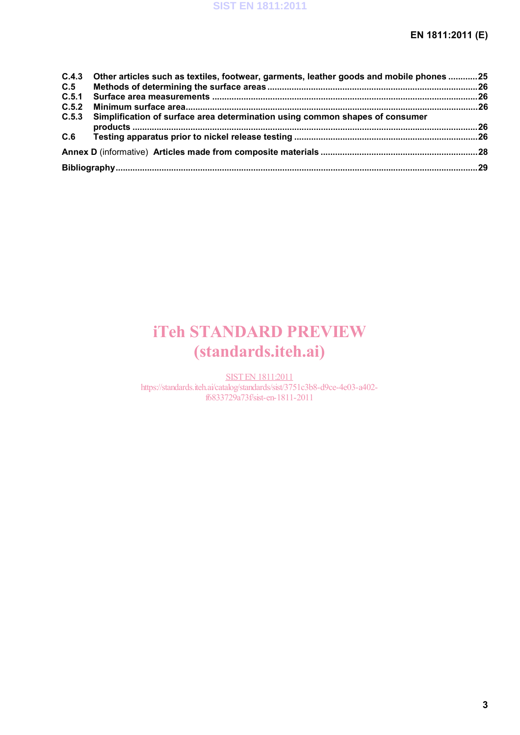|     | C.4.3 Other articles such as textiles, footwear, garments, leather goods and mobile phones 25 |  |
|-----|-----------------------------------------------------------------------------------------------|--|
| C.5 |                                                                                               |  |
|     |                                                                                               |  |
|     |                                                                                               |  |
|     | C.5.3 Simplification of surface area determination using common shapes of consumer            |  |
| C.6 |                                                                                               |  |
|     |                                                                                               |  |
|     |                                                                                               |  |

# iTeh STANDARD PREVIEW (standards.iteh.ai)

SIST EN 1811:2011 https://standards.iteh.ai/catalog/standards/sist/3751c3b8-d9ce-4e03-a402 f6833729a73f/sist-en-1811-2011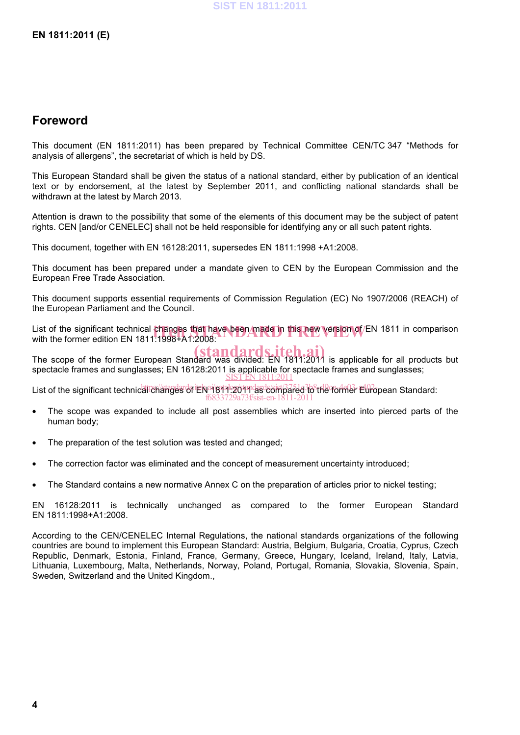# **Foreword**

This document (EN 1811:2011) has been prepared by Technical Committee CEN/TC 347 "Methods for analysis of allergens", the secretariat of which is held by DS.

This European Standard shall be given the status of a national standard, either by publication of an identical text or by endorsement, at the latest by September 2011, and conflicting national standards shall be withdrawn at the latest by March 2013.

Attention is drawn to the possibility that some of the elements of this document may be the subject of patent rights. CEN [and/or CENELEC] shall not be held responsible for identifying any or all such patent rights.

This document, together with EN 16128:2011, supersedes EN 1811:1998 +A1:2008.

This document has been prepared under a mandate given to CEN by the European Commission and the European Free Trade Association.

This document supports essential requirements of Commission Regulation (EC) No 1907/2006 (REACH) of the European Parliament and the Council.

List of the significant technical changes that have been made in this new version of EN 1811 in comparison<br>with the former edition EN 1811:1998+A1:2008: with the former edition EN 1811:1998+A1:2008:

The scope of the former European Standard was divided: EN 1811:2011 is applicable for all products but spectacle frames and sunglasses; EN 16128:2011 is applicable for spectacle frames and sunglasses; SIST EN 1811:2011

List of the significant technical changes of EN 1819.2011 as compared to the former European Standard: f6833729a73f/sist-en-1811-2011

- The scope was expanded to include all post assemblies which are inserted into pierced parts of the human body;
- The preparation of the test solution was tested and changed;
- The correction factor was eliminated and the concept of measurement uncertainty introduced;
- The Standard contains a new normative Annex C on the preparation of articles prior to nickel testing;

EN 16128:2011 is technically unchanged as compared to the former European Standard EN 1811:1998+A1:2008.

According to the CEN/CENELEC Internal Regulations, the national standards organizations of the following countries are bound to implement this European Standard: Austria, Belgium, Bulgaria, Croatia, Cyprus, Czech Republic, Denmark, Estonia, Finland, France, Germany, Greece, Hungary, Iceland, Ireland, Italy, Latvia, Lithuania, Luxembourg, Malta, Netherlands, Norway, Poland, Portugal, Romania, Slovakia, Slovenia, Spain, Sweden, Switzerland and the United Kingdom.,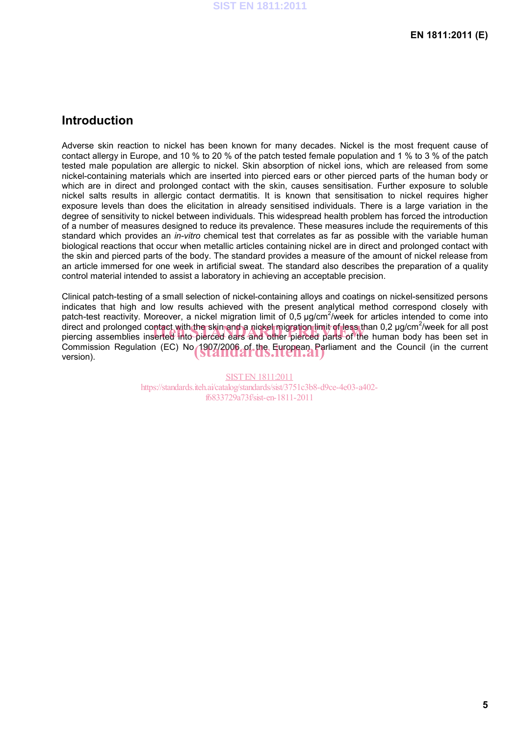# **Introduction**

Adverse skin reaction to nickel has been known for many decades. Nickel is the most frequent cause of contact allergy in Europe, and 10 % to 20 % of the patch tested female population and 1 % to 3 % of the patch tested male population are allergic to nickel. Skin absorption of nickel ions, which are released from some nickel-containing materials which are inserted into pierced ears or other pierced parts of the human body or which are in direct and prolonged contact with the skin, causes sensitisation. Further exposure to soluble nickel salts results in allergic contact dermatitis. It is known that sensitisation to nickel requires higher exposure levels than does the elicitation in already sensitised individuals. There is a large variation in the degree of sensitivity to nickel between individuals. This widespread health problem has forced the introduction of a number of measures designed to reduce its prevalence. These measures include the requirements of this standard which provides an *in-vitro* chemical test that correlates as far as possible with the variable human biological reactions that occur when metallic articles containing nickel are in direct and prolonged contact with the skin and pierced parts of the body. The standard provides a measure of the amount of nickel release from an article immersed for one week in artificial sweat. The standard also describes the preparation of a quality control material intended to assist a laboratory in achieving an acceptable precision.

Clinical patch-testing of a small selection of nickel-containing alloys and coatings on nickel-sensitized persons indicates that high and low results achieved with the present analytical method correspond closely with patch-test reactivity. Moreover, a nickel migration limit of 0,5  $\mu$ g/cm<sup>2</sup>/week for articles intended to come into direct and prolonged contact with the skin and a nickel migration limit of less than 0,2 µg/cm<sup>2</sup>/week for all post direct and prolonged contact with the skin and a nickel migration limit of less than 0,2 µg/cm<sup>∠</sup>/week for all post<br>piercing assemblies inserted into pierced ears and other pierced parts of the human body has been set in Commission Regulation (EC) No 1907/2006 of the European Parliament and the Council (in the current version). version).

> SIST EN 1811:2011 https://standards.iteh.ai/catalog/standards/sist/3751c3b8-d9ce-4e03-a402 f6833729a73f/sist-en-1811-2011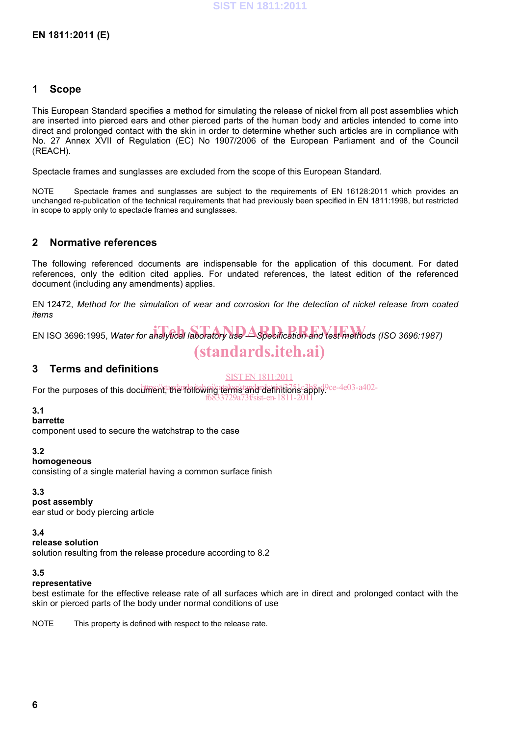# **1 Scope**

This European Standard specifies a method for simulating the release of nickel from all post assemblies which are inserted into pierced ears and other pierced parts of the human body and articles intended to come into direct and prolonged contact with the skin in order to determine whether such articles are in compliance with No. 27 Annex XVII of Regulation (EC) No 1907/2006 of the European Parliament and of the Council (REACH).

Spectacle frames and sunglasses are excluded from the scope of this European Standard.

NOTE Spectacle frames and sunglasses are subject to the requirements of EN 16128:2011 which provides an unchanged re-publication of the technical requirements that had previously been specified in EN 1811:1998, but restricted in scope to apply only to spectacle frames and sunglasses.

# **2 Normative references**

The following referenced documents are indispensable for the application of this document. For dated references, only the edition cited applies. For undated references, the latest edition of the referenced document (including any amendments) applies.

EN 12472, *Method for the simulation of wear and corrosion for the detection of nickel release from coated items* 

EN ISO 3696:1995, Water for analytical laboratory use <u>Aspecification</u> and test methods (ISO 3696:1987) (standards.iteh.ai)

# **3 Terms and definitions**

SIST EN 1811:2011

For the purposes of this document tandard it the following terms and definitions apply?ce-4e03-a402f6833729a73f/sist-en-1811-2011

## **3.1**

**barrette** 

component used to secure the watchstrap to the case

## **3.2**

## **homogeneous**

consisting of a single material having a common surface finish

# **3.3**

**post assembly** 

ear stud or body piercing article

**3.4** 

**release solution** 

solution resulting from the release procedure according to 8.2

## **3.5**

## **representative**

best estimate for the effective release rate of all surfaces which are in direct and prolonged contact with the skin or pierced parts of the body under normal conditions of use

NOTE This property is defined with respect to the release rate.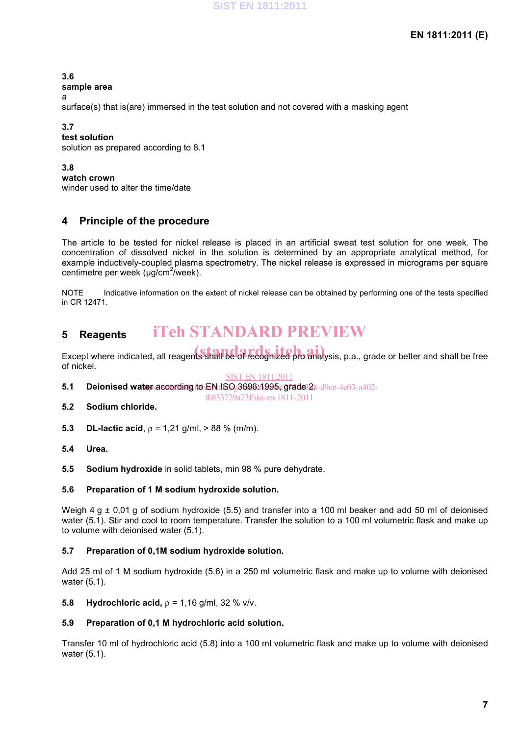**3.6** 

**sample area** 

*a* 

surface(s) that is(are) immersed in the test solution and not covered with a masking agent

# **3.7**

**test solution**  solution as prepared according to 8.1

**3.8** 

**watch crown**  winder used to alter the time/date

# **4 Principle of the procedure**

The article to be tested for nickel release is placed in an artificial sweat test solution for one week. The concentration of dissolved nickel in the solution is determined by an appropriate analytical method, for example inductively-coupled plasma spectrometry. The nickel release is expressed in micrograms per square centimetre per week (µg/cm<sup>2</sup>/week).

NOTE Indicative information on the extent of nickel release can be obtained by performing one of the tests specified in CR 12471.

#### **5 Reagents**  iTeh STANDARD PREVIEW

Except where indicated, all reagents shall be of recognized pro analysis, p.a., grade or better and shall be free of nickel.

## SIST EN 1811:2011

5.1 Deionised water according to EN ISO<sub>2</sub>3696a1995;/grade 28-d9ce-4e03-a402-

f6833729a73f/sist-en-1811-2011

- **5.2 Sodium chloride.**
- **5.3 DL-lactic acid**,  $\rho = 1.21$  g/ml,  $> 88$  % (m/m).
- **5.4 Urea.**
- **5.5 Sodium hydroxide** in solid tablets, min 98 % pure dehydrate.

# **5.6 Preparation of 1 M sodium hydroxide solution.**

Weigh 4 g  $\pm$  0,01 g of sodium hydroxide (5.5) and transfer into a 100 ml beaker and add 50 ml of deionised water (5.1). Stir and cool to room temperature. Transfer the solution to a 100 ml volumetric flask and make up to volume with deionised water (5.1).

# **5.7 Preparation of 0,1M sodium hydroxide solution.**

Add 25 ml of 1 M sodium hydroxide (5.6) in a 250 ml volumetric flask and make up to volume with deionised water (5.1).

**5.8 • Hydrochloric acid,**  $ρ = 1,16$  **g/ml, 32 % v/v.** 

# **5.9 Preparation of 0,1 M hydrochloric acid solution.**

Transfer 10 ml of hydrochloric acid (5.8) into a 100 ml volumetric flask and make up to volume with deionised water (5.1).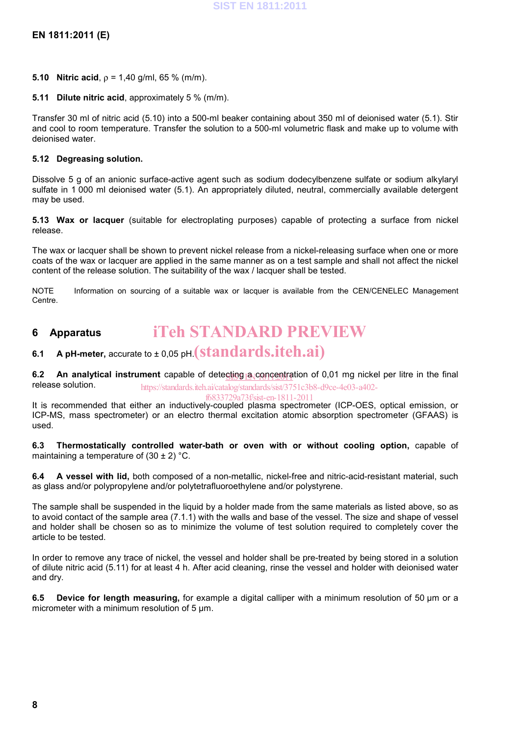- **5.10 Nitric acid,**  $\rho = 1,40$  **g/ml, 65 % (m/m).**
- **5.11 Dilute nitric acid**, approximately 5 % (m/m).

Transfer 30 ml of nitric acid (5.10) into a 500-ml beaker containing about 350 ml of deionised water (5.1). Stir and cool to room temperature. Transfer the solution to a 500-ml volumetric flask and make up to volume with deionised water.

## **5.12 Degreasing solution.**

Dissolve 5 g of an anionic surface-active agent such as sodium dodecylbenzene sulfate or sodium alkylaryl sulfate in 1 000 ml deionised water (5.1). An appropriately diluted, neutral, commercially available detergent may be used.

**5.13 Wax or lacquer** (suitable for electroplating purposes) capable of protecting a surface from nickel release.

The wax or lacquer shall be shown to prevent nickel release from a nickel-releasing surface when one or more coats of the wax or lacquer are applied in the same manner as on a test sample and shall not affect the nickel content of the release solution. The suitability of the wax / lacquer shall be tested.

NOTE Information on sourcing of a suitable wax or lacquer is available from the CEN/CENELEC Management Centre.

#### **6 Apparatus**  iTeh STANDARD PREVIEW

# **6.1** A pH-meter, accurate to ± 0,05 pH.  $(\textbf{standard s.}$

**6.2** An analytical instrument capable of detecting a concentration of 0,01 mg nickel per litre in the final release solution. https://standards.iteh.ai/catalog/standards/sist/3751c3b8-d9ce-4e03-a402-

f6833729a73f/sist-en-1811-2011

It is recommended that either an inductively-coupled plasma spectrometer (ICP-OES, optical emission, or ICP-MS, mass spectrometer) or an electro thermal excitation atomic absorption spectrometer (GFAAS) is used.

**6.3 Thermostatically controlled water-bath or oven with or without cooling option,** capable of maintaining a temperature of  $(30 \pm 2)$  °C.

**6.4 A vessel with lid,** both composed of a non-metallic, nickel-free and nitric-acid-resistant material, such as glass and/or polypropylene and/or polytetrafluoroethylene and/or polystyrene.

The sample shall be suspended in the liquid by a holder made from the same materials as listed above, so as to avoid contact of the sample area (7.1.1) with the walls and base of the vessel. The size and shape of vessel and holder shall be chosen so as to minimize the volume of test solution required to completely cover the article to be tested.

In order to remove any trace of nickel, the vessel and holder shall be pre-treated by being stored in a solution of dilute nitric acid (5.11) for at least 4 h. After acid cleaning, rinse the vessel and holder with deionised water and dry.

**6.5 Device for length measuring,** for example a digital calliper with a minimum resolution of 50 µm or a micrometer with a minimum resolution of 5 um.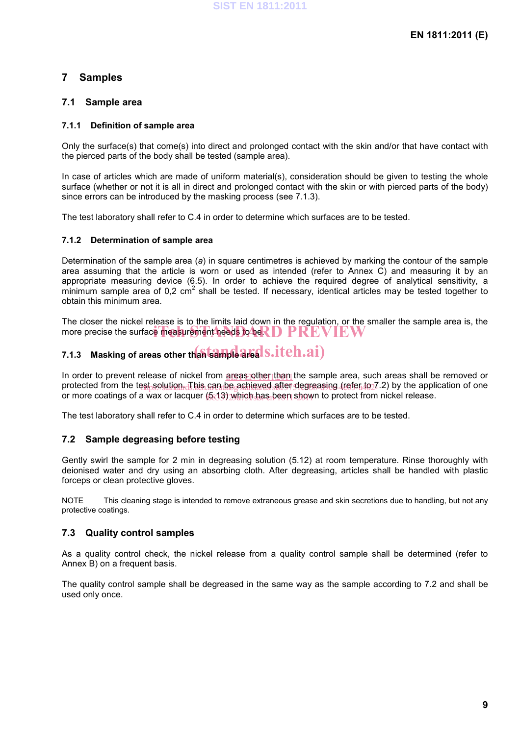# **7 Samples**

# **7.1 Sample area**

## **7.1.1 Definition of sample area**

Only the surface(s) that come(s) into direct and prolonged contact with the skin and/or that have contact with the pierced parts of the body shall be tested (sample area).

In case of articles which are made of uniform material(s), consideration should be given to testing the whole surface (whether or not it is all in direct and prolonged contact with the skin or with pierced parts of the body) since errors can be introduced by the masking process (see 7.1.3).

The test laboratory shall refer to C.4 in order to determine which surfaces are to be tested.

## **7.1.2 Determination of sample area**

Determination of the sample area (*a*) in square centimetres is achieved by marking the contour of the sample area assuming that the article is worn or used as intended (refer to Annex C) and measuring it by an appropriate measuring device (6.5). In order to achieve the required degree of analytical sensitivity, a  $m$ inimum sample area of 0,2 cm<sup>2</sup> shall be tested. If necessary, identical articles may be tested together to obtain this minimum area.

The closer the nickel release is to the limits laid down in the regulation, or the smaller the sample area is, the more precise the surface measurement needs to be. D PREVIEW

# 7.1.3 Masking of areas other th**an sample area S.iteh.ai**)

In order to prevent release of nickel from **greas other than** the sample area, such areas shall be removed or protected from the test solution d his can be achieved after degreasing (refer to 7.2) by the application of one or more coatings of a wax or lacquer (5.13) which has been shown to protect from nickel release.

The test laboratory shall refer to C.4 in order to determine which surfaces are to be tested.

# **7.2 Sample degreasing before testing**

Gently swirl the sample for 2 min in degreasing solution (5.12) at room temperature. Rinse thoroughly with deionised water and dry using an absorbing cloth. After degreasing, articles shall be handled with plastic forceps or clean protective gloves.

NOTE This cleaning stage is intended to remove extraneous grease and skin secretions due to handling, but not any protective coatings.

# **7.3 Quality control samples**

As a quality control check, the nickel release from a quality control sample shall be determined (refer to Annex B) on a frequent basis.

The quality control sample shall be degreased in the same way as the sample according to 7.2 and shall be used only once.